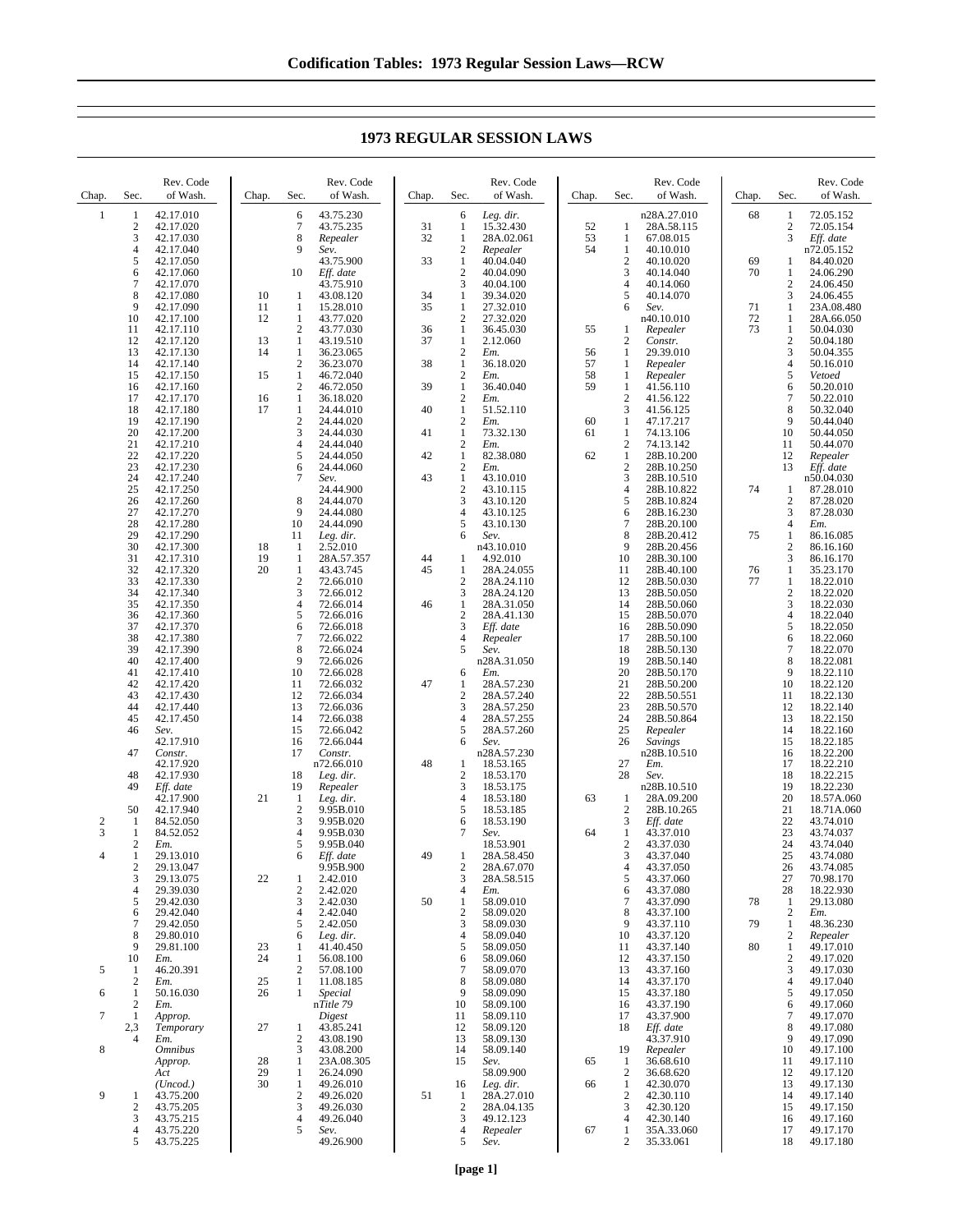**1973 REGULAR SESSION LAWS**

| Chap.               | Sec.                                               | Rev. Code<br>of Wash.               | Chap.          | Sec.                                           | Rev. Code<br>of Wash.                | Chap.    | Sec.                                             | Rev. Code<br>of Wash.                  | Chap.    | Sec.                                  | Rev. Code<br>of Wash.                  | Chap.    | Sec.                                       | Rev. Code<br>of Wash.                |
|---------------------|----------------------------------------------------|-------------------------------------|----------------|------------------------------------------------|--------------------------------------|----------|--------------------------------------------------|----------------------------------------|----------|---------------------------------------|----------------------------------------|----------|--------------------------------------------|--------------------------------------|
| $\mathbf{1}$        | 1<br>2<br>3                                        | 42.17.010<br>42.17.020<br>42.17.030 |                | 6<br>7<br>8                                    | 43.75.230<br>43.75.235<br>Repealer   | 31<br>32 | 6<br>1<br>1                                      | Leg. dir.<br>15.32.430<br>28A.02.061   | 52<br>53 | 1<br>1                                | n28A.27.010<br>28A.58.115<br>67.08.015 | 68       | 1<br>$\overline{\mathbf{c}}$<br>3          | 72.05.152<br>72.05.154<br>Eff. date  |
|                     | 4<br>5<br>6                                        | 42.17.040<br>42.17.050<br>42.17.060 |                | 9<br>10                                        | Sev.<br>43.75.900<br>Eff. date       | 33       | $\boldsymbol{2}$<br>1<br>$\mathbf{2}$            | Repealer<br>40.04.040<br>40.04.090     | 54       | 1<br>$\overline{c}$<br>3              | 40.10.010<br>40.10.020<br>40.14.040    | 69<br>70 | $\mathbf{1}$<br>$\mathbf{1}$               | n72.05.152<br>84.40.020<br>24.06.290 |
|                     | 7<br>8<br>9                                        | 42.17.070<br>42.17.080<br>42.17.090 | 10<br>11       | 1<br>1                                         | 43.75.910<br>43.08.120<br>15.28.010  | 34<br>35 | 3<br>$\mathbf{1}$<br>1                           | 40.04.100<br>39.34.020<br>27.32.010    |          | 4<br>5<br>6                           | 40.14.060<br>40.14.070<br>Sev.         | 71       | $\overline{c}$<br>3<br>1                   | 24.06.450<br>24.06.455<br>23A.08.480 |
|                     | 10<br>11<br>12                                     | 42.17.100<br>42.17.110<br>42.17.120 | 12<br>13       | $\mathbf{1}$<br>$\overline{c}$<br>$\mathbf{1}$ | 43.77.020<br>43.77.030<br>43.19.510  | 36<br>37 | $\mathbf{2}$<br>1<br>$\mathbf{1}$                | 27.32.020<br>36.45.030<br>2.12.060     | 55       | 1<br>$\overline{c}$                   | n40.10.010<br>Repealer<br>Constr.      | 72<br>73 | $\mathbf{1}$<br>$\mathbf{1}$<br>$\sqrt{2}$ | 28A.66.050<br>50.04.030<br>50.04.180 |
|                     | 13<br>14<br>15                                     | 42.17.130<br>42.17.140<br>42.17.150 | 14<br>15       | 1<br>$\sqrt{2}$<br>$\mathbf{1}$                | 36.23.065<br>36.23.070<br>46.72.040  | 38       | $\sqrt{2}$<br>$\mathbf{1}$<br>$\overline{c}$     | Em.<br>36.18.020                       | 56<br>57 | 1<br>1                                | 29.39.010<br>Repealer                  |          | 3<br>$\overline{4}$<br>5                   | 50.04.355<br>50.16.010<br>Vetoed     |
|                     | 16<br>17                                           | 42.17.160<br>42.17.170              | 16             | $\boldsymbol{2}$<br>1                          | 46.72.050<br>36.18.020               | 39       | $\mathbf{1}$<br>$\overline{c}$                   | Em.<br>36.40.040<br>Em.                | 58<br>59 | 1<br>1<br>$\boldsymbol{2}$            | Repealer<br>41.56.110<br>41.56.122     |          | 6<br>7                                     | 50.20.010<br>50.22.010               |
|                     | 18<br>19<br>20                                     | 42.17.180<br>42.17.190<br>42.17.200 | 17             | $\mathbf{1}$<br>$\boldsymbol{2}$<br>3          | 24.44.010<br>24.44.020<br>24.44.030  | 40<br>41 | $\mathbf{1}$<br>$\boldsymbol{2}$<br>$\mathbf{1}$ | 51.52.110<br>Em.<br>73.32.130          | 60<br>61 | 3<br>1<br>1                           | 41.56.125<br>47.17.217<br>74.13.106    |          | 8<br>9<br>10                               | 50.32.040<br>50.44.040<br>50.44.050  |
|                     | 21<br>22<br>23                                     | 42.17.210<br>42.17.220<br>42.17.230 |                | $\overline{4}$<br>5<br>6                       | 24.44.040<br>24.44.050<br>24.44.060  | 42       | $\sqrt{2}$<br>$\mathbf{1}$<br>$\sqrt{2}$         | Em.<br>82.38.080<br>Em.                | 62       | $\overline{c}$<br>1<br>$\overline{c}$ | 74.13.142<br>28B.10.200<br>28B.10.250  |          | 11<br>12<br>13                             | 50.44.070<br>Repealer<br>Eff. date   |
|                     | 24<br>25<br>26                                     | 42.17.240<br>42.17.250<br>42.17.260 |                | 7<br>8                                         | Sev.<br>24.44.900<br>24.44.070       | 43       | $\mathbf{1}$<br>$\overline{2}$<br>3              | 43.10.010<br>43.10.115<br>43.10.120    |          | 3<br>4<br>5                           | 28B.10.510<br>28B.10.822<br>28B.10.824 | 74       | 1<br>$\overline{2}$                        | n50.04.030<br>87.28.010<br>87.28.020 |
|                     | 27<br>28<br>29                                     | 42.17.270<br>42.17.280<br>42.17.290 |                | 9<br>10<br>11                                  | 24.44.080<br>24.44.090<br>Leg. dir.  |          | $\overline{4}$<br>5<br>6                         | 43.10.125<br>43.10.130<br>Sev.         |          | 6<br>7<br>8                           | 28B.16.230<br>28B.20.100<br>28B.20.412 | 75       | 3<br>$\overline{4}$<br>$\mathbf{1}$        | 87.28.030<br>Em.<br>86.16.085        |
|                     | 30<br>31<br>32                                     | 42.17.300<br>42.17.310<br>42.17.320 | 18<br>19<br>20 | $\mathbf{1}$<br>$\mathbf{1}$<br>1              | 2.52.010<br>28A.57.357<br>43.43.745  | 44<br>45 | 1<br>1                                           | n43.10.010<br>4.92.010<br>28A.24.055   |          | 9<br>10<br>11                         | 28B.20.456<br>28B.30.100<br>28B.40.100 | 76       | $\boldsymbol{2}$<br>3<br>$\mathbf{1}$      | 86.16.160<br>86.16.170<br>35.23.170  |
|                     | 33<br>34                                           | 42.17.330<br>42.17.340              |                | $\overline{c}$<br>3                            | 72.66.010<br>72.66.012               |          | $\overline{2}$<br>3                              | 28A.24.110<br>28A.24.120               |          | 12<br>13                              | 28B.50.030<br>28B.50.050               | 77       | $\mathbf{1}$<br>$\sqrt{2}$                 | 18.22.010<br>18.22.020               |
|                     | 35<br>36<br>37                                     | 42.17.350<br>42.17.360<br>42.17.370 |                | 4<br>5<br>6                                    | 72.66.014<br>72.66.016<br>72.66.018  | 46       | $\mathbf{1}$<br>$\sqrt{2}$<br>3                  | 28A.31.050<br>28A.41.130<br>Eff. date  |          | 14<br>15<br>16                        | 28B.50.060<br>28B.50.070<br>28B.50.090 |          | 3<br>$\overline{4}$<br>5                   | 18.22.030<br>18.22.040<br>18.22.050  |
|                     | 38<br>39<br>40                                     | 42.17.380<br>42.17.390<br>42.17.400 |                | 7<br>8<br>9                                    | 72.66.022<br>72.66.024<br>72.66.026  |          | 4<br>5                                           | Repealer<br>Sev.<br>n28A.31.050        |          | 17<br>18<br>19                        | 28B.50.100<br>28B.50.130<br>28B.50.140 |          | 6<br>7<br>8                                | 18.22.060<br>18.22.070<br>18.22.081  |
|                     | 41<br>42<br>43                                     | 42.17.410<br>42.17.420<br>42.17.430 |                | 10<br>11<br>12                                 | 72.66.028<br>72.66.032<br>72.66.034  | 47       | 6<br>$\mathbf{1}$<br>$\overline{2}$              | Em.<br>28A.57.230<br>28A.57.240        |          | 20<br>21<br>22                        | 28B.50.170<br>28B.50.200<br>28B.50.551 |          | 9<br>10<br>11                              | 18.22.110<br>18.22.120<br>18.22.130  |
|                     | 44<br>45<br>46                                     | 42.17.440<br>42.17.450<br>Sev.      |                | 13<br>14<br>15                                 | 72.66.036<br>72.66.038<br>72.66.042  |          | 3<br>$\overline{4}$<br>5                         | 28A.57.250<br>28A.57.255<br>28A.57.260 |          | 23<br>24<br>25                        | 28B.50.570<br>28B.50.864<br>Repealer   |          | 12<br>13<br>14                             | 18.22.140<br>18.22.150<br>18.22.160  |
|                     | 47                                                 | 42.17.910<br>Constr.<br>42.17.920   |                | 16<br>17                                       | 72.66.044<br>Constr.<br>n72.66.010   | 48       | 6<br>1                                           | Sev.<br>n28A.57.230<br>18.53.165       |          | 26<br>27                              | Savings<br>n28B.10.510<br>Em.          |          | 15<br>16<br>17                             | 18.22.185<br>18.22.200<br>18.22.210  |
|                     | 48<br>49                                           | 42.17.930<br>Eff. date<br>42.17.900 | 21             | 18<br>19<br>$\mathbf{1}$                       | Leg. dir.<br>Repealer<br>Leg. dir.   |          | $\boldsymbol{2}$<br>3<br>$\overline{4}$          | 18.53.170<br>18.53.175<br>18.53.180    | 63       | 28<br>1                               | Sev.<br>n28B.10.510<br>28A.09.200      |          | 18<br>19<br>20                             | 18.22.215<br>18.22.230<br>18.57A.060 |
| $\overline{c}$<br>3 | 50<br>1<br>1                                       | 42.17.940<br>84.52.050<br>84.52.052 |                | $\overline{2}$<br>3<br>4                       | 9.95B.010<br>9.95B.020<br>9.95B.030  |          | 5<br>6<br>7                                      | 18.53.185<br>18.53.190<br>Sev.         | 64       | 2<br>3<br>1                           | 28B.10.265<br>Eff. date<br>43.37.010   |          | 21<br>22<br>23                             | 18.71A.060<br>43.74.010<br>43.74.037 |
| $\overline{4}$      | $\mathfrak{2}$<br>$\mathbf{1}$<br>$\boldsymbol{2}$ | Em.<br>29.13.010<br>29.13.047       |                | 5<br>6                                         | 9.95B.040<br>Eff. date<br>9.95B.900  | 49       | $\mathbf{1}$<br>$\boldsymbol{2}$                 | 18.53.901<br>28A.58.450<br>28A.67.070  |          | $\overline{c}$<br>3<br>4              | 43.37.030<br>43.37.040<br>43.37.050    |          | 24<br>25<br>26                             | 43.74.040<br>43.74.080<br>43.74.085  |
|                     | 3<br>$\overline{4}$<br>5                           | 29.13.075<br>29.39.030<br>29.42.030 | 22             | 1<br>$\overline{c}$<br>3                       | 2.42.010<br>2.42.020<br>2.42.030     | 50       | 3<br>$\overline{4}$<br>$\mathbf{1}$              | 28A.58.515<br>Em.<br>58.09.010         |          | 5<br>6<br>7                           | 43.37.060<br>43.37.080<br>43.37.090    | 78       | 27<br>28<br>$\mathbf{1}$                   | 70.98.170<br>18.22.930<br>29.13.080  |
|                     | 6<br>7<br>8                                        | 29.42.040<br>29.42.050<br>29.80.010 |                | 4<br>5<br>6                                    | 2.42.040<br>2.42.050<br>Leg. dir.    |          | $\sqrt{2}$<br>$\mathfrak{Z}$<br>$\overline{4}$   | 58.09.020<br>58.09.030<br>58.09.040    |          | 8<br>9<br>10                          | 43.37.100<br>43.37.110<br>43.37.120    | 79       | $\overline{c}$<br>1<br>$\overline{2}$      | Em.<br>48.36.230<br>Repealer         |
| 5                   | 9<br>10<br>1                                       | 29.81.100<br>Em.<br>46.20.391       | 23<br>24       | 1<br>$\mathbf{1}$<br>$\overline{c}$            | 41.40.450<br>56.08.100<br>57.08.100  |          | 5<br>6<br>$\overline{7}$                         | 58.09.050<br>58.09.060<br>58.09.070    |          | 11<br>12<br>13                        | 43.37.140<br>43.37.150<br>43.37.160    | 80       | 1<br>$\mathbf{2}$<br>3                     | 49.17.010<br>49.17.020<br>49.17.030  |
| 6                   | $\mathfrak{2}$<br>1<br>$\mathfrak{2}$              | Em.<br>50.16.030<br>Em.             | 25<br>26       | 1<br>1                                         | 11.08.185<br>Special<br>nTitle 79    |          | 8<br>9<br>10                                     | 58.09.080<br>58.09.090<br>58.09.100    |          | 14<br>15<br>16                        | 43.37.170<br>43.37.180<br>43.37.190    |          | $\overline{4}$<br>5<br>6                   | 49.17.040<br>49.17.050<br>49.17.060  |
| 7                   | 1<br>2,3<br>4                                      | Approp.<br>Temporary<br>Em.         | 27             | 1<br>$\overline{c}$                            | Digest<br>43.85.241<br>43.08.190     |          | 11<br>12<br>13                                   | 58.09.110<br>58.09.120<br>58.09.130    |          | 17<br>18                              | 43.37.900<br>Eff. date<br>43.37.910    |          | 7<br>8<br>9                                | 49.17.070<br>49.17.080<br>49.17.090  |
| 8                   |                                                    | Omnibus<br>Approp.<br>Act           | 28<br>29       | 3<br>1<br>$\mathbf{1}$                         | 43.08.200<br>23A.08.305<br>26.24.090 |          | 14<br>15                                         | 58.09.140<br>Sev.<br>58.09.900         | 65       | 19<br>1<br>$\boldsymbol{2}$           | Repealer<br>36.68.610<br>36.68.620     |          | 10<br>11<br>12                             | 49.17.100<br>49.17.110<br>49.17.120  |
| 9                   | 1<br>2                                             | (Uncod.)<br>43.75.200<br>43.75.205  | 30             | $\mathbf{1}$<br>$\overline{2}$<br>3            | 49.26.010<br>49.26.020<br>49.26.030  | 51       | 16<br>1<br>$\boldsymbol{2}$                      | Leg. dir.<br>28A.27.010<br>28A.04.135  | 66       | 1<br>$\overline{c}$<br>3              | 42.30.070<br>42.30.110<br>42.30.120    |          | 13<br>14<br>15                             | 49.17.130<br>49.17.140<br>49.17.150  |
|                     | 3<br>4<br>5                                        | 43.75.215<br>43.75.220<br>43.75.225 |                | 4<br>5                                         | 49.26.040<br>Sev.<br>49.26.900       |          | 3<br>$\overline{4}$<br>5                         | 49.12.123<br>Repealer<br>Sev.          | 67       | 4<br>1<br>2                           | 42.30.140<br>35A.33.060<br>35.33.061   |          | 16<br>17<br>18                             | 49.17.160<br>49.17.170<br>49.17.180  |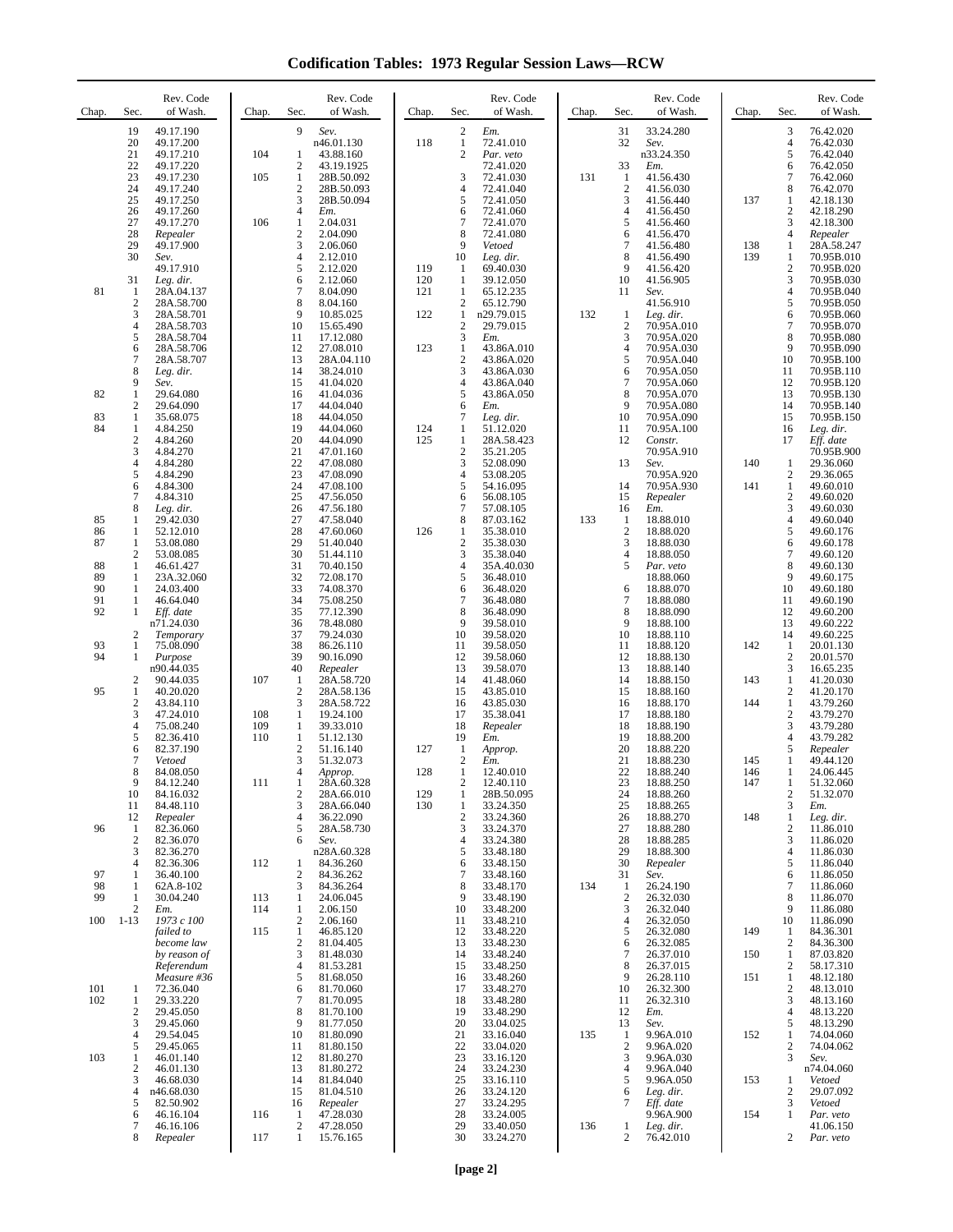**Codification Tables: 1973 Regular Session Laws—RCW**

| Chap.      | Sec.                       | Rev. Code<br>of Wash.               | Chap.      | Sec.                                  | Rev. Code<br>of Wash.           | Chap.      | Sec.                                         | Rev. Code<br>of Wash.         | Chap. | Sec.                           | Rev. Code<br>of Wash.           | Chap.      | Sec.                                    | Rev. Code<br>of Wash.               |
|------------|----------------------------|-------------------------------------|------------|---------------------------------------|---------------------------------|------------|----------------------------------------------|-------------------------------|-------|--------------------------------|---------------------------------|------------|-----------------------------------------|-------------------------------------|
|            | 19<br>20<br>21             | 49.17.190<br>49.17.200<br>49.17.210 | 104        | 9<br>1                                | Sev.<br>n46.01.130<br>43.88.160 | 118        | $\sqrt{2}$<br>$\mathbf{1}$<br>$\mathfrak{2}$ | Em.<br>72.41.010<br>Par. veto |       | 31<br>32                       | 33.24.280<br>Sev.<br>n33.24.350 |            | 3<br>$\overline{4}$<br>5                | 76.42.020<br>76.42.030<br>76.42.040 |
|            | 22<br>23                   | 49.17.220<br>49.17.230              | 105        | $\overline{2}$<br>$\mathbf{1}$        | 43.19.1925<br>28B.50.092        |            | 3                                            | 72.41.020<br>72.41.030        | 131   | 33<br>1                        | Em.<br>41.56.430                |            | 6<br>7                                  | 76.42.050<br>76.42.060              |
|            | 24<br>25                   | 49.17.240<br>49.17.250              |            | $\overline{2}$<br>3                   | 28B.50.093<br>28B.50.094        |            | $\overline{4}$<br>5                          | 72.41.040<br>72.41.050        |       | $\overline{2}$<br>3            | 41.56.030<br>41.56.440          | 137        | 8<br>1                                  | 76.42.070<br>42.18.130              |
|            | 26                         | 49.17.260                           |            | $\overline{4}$                        | Em.                             |            | 6                                            | 72.41.060                     |       | $\overline{4}$                 | 41.56.450                       |            | $\sqrt{2}$                              | 42.18.290                           |
|            | 27<br>28                   | 49.17.270<br>Repealer               | 106        | 1<br>$\overline{2}$                   | 2.04.031<br>2.04.090            |            | 7<br>8                                       | 72.41.070<br>72.41.080        |       | 5<br>6                         | 41.56.460<br>41.56.470          |            | 3<br>$\overline{4}$                     | 42.18.300<br>Repealer               |
|            | 29<br>30                   | 49.17.900<br>Sev.                   |            | 3<br>4                                | 2.06.060<br>2.12.010            |            | 9<br>10                                      | Vetoed<br>Leg. dir.           |       | $\tau$<br>8                    | 41.56.480<br>41.56.490          | 138<br>139 | 1<br>1                                  | 28A.58.247<br>70.95B.010            |
|            | 31                         | 49.17.910<br>Leg. dir.              |            | 5<br>6                                | 2.12.020<br>2.12.060            | 119<br>120 | -1<br>1                                      | 69.40.030<br>39.12.050        |       | 9<br>10                        | 41.56.420<br>41.56.905          |            | $\sqrt{2}$<br>3                         | 70.95B.020<br>70.95B.030            |
| 81         | 1<br>$\overline{2}$        | 28A.04.137<br>28A.58.700            |            | $\overline{7}$<br>8                   | 8.04.090<br>8.04.160            | 121        | $\mathbf{1}$<br>$\mathfrak{2}$               | 65.12.235<br>65.12.790        |       | 11                             | Sev.<br>41.56.910               |            | $\overline{4}$<br>5                     | 70.95B.040<br>70.95B.050            |
|            | 3<br>$\overline{4}$        | 28A.58.701<br>28A.58.703            |            | 9<br>10                               | 10.85.025<br>15.65.490          | 122        | $\mathbf{1}$<br>$\boldsymbol{2}$             | n29.79.015<br>29.79.015       | 132   | $\mathbf{1}$<br>$\overline{2}$ | Leg. dir.<br>70.95A.010         |            | 6<br>7                                  | 70.95B.060<br>70.95B.070            |
|            | 5<br>6                     | 28A.58.704<br>28A.58.706            |            | 11<br>12                              | 17.12.080<br>27.08.010          | 123        | 3<br>$\mathbf{1}$                            | Em.<br>43.86A.010             |       | 3<br>$\overline{4}$            | 70.95A.020<br>70.95A.030        |            | 8<br>9                                  | 70.95B.080<br>70.95B.090            |
|            | $\boldsymbol{7}$<br>8      | 28A.58.707<br>Leg. dir.             |            | 13<br>14                              | 28A.04.110<br>38.24.010         |            | $\overline{2}$<br>3                          | 43.86A.020<br>43.86A.030      |       | 5<br>6                         | 70.95A.040<br>70.95A.050        |            | 10<br>11                                | 70.95B.100<br>70.95B.110            |
| 82         | 9<br>$\mathbf{1}$          | Sev.<br>29.64.080                   |            | 15<br>16                              | 41.04.020<br>41.04.036          |            | $\overline{4}$<br>5                          | 43.86A.040<br>43.86A.050      |       | $\overline{7}$<br>8            | 70.95A.060<br>70.95A.070        |            | 12<br>13                                | 70.95B.120<br>70.95B.130            |
| 83         | $\overline{2}$<br>1        | 29.64.090<br>35.68.075              |            | 17<br>18                              | 44.04.040<br>44.04.050          |            | 6<br>7                                       | Em.<br>Leg. dir.              |       | 9<br>10                        | 70.95A.080<br>70.95A.090        |            | 14<br>15                                | 70.95B.140<br>70.95B.150            |
| 84         | 1<br>$\sqrt{2}$            | 4.84.250<br>4.84.260                |            | 19<br>20                              | 44.04.060<br>44.04.090          | 124<br>125 | 1<br>$\mathbf{1}$                            | 51.12.020<br>28A.58.423       |       | 11<br>12                       | 70.95A.100<br>Constr.           |            | 16<br>17                                | Leg. dir.<br>Eff. date              |
|            | 3<br>$\overline{4}$        | 4.84.270<br>4.84.280                |            | 21<br>22                              | 47.01.160<br>47.08.080          |            | $\boldsymbol{2}$<br>3                        | 35.21.205<br>52.08.090        |       | 13                             | 70.95A.910<br>Sev.              | 140        | 1                                       | 70.95B.900<br>29.36.060             |
|            | 5<br>6                     | 4.84.290<br>4.84.300                |            | 23<br>24                              | 47.08.090<br>47.08.100          |            | $\overline{4}$<br>5                          | 53.08.205<br>54.16.095        |       | 14                             | 70.95A.920<br>70.95A.930        | 141        | $\overline{c}$<br>$\mathbf{1}$          | 29.36.065<br>49.60.010              |
|            | $\overline{7}$<br>8        | 4.84.310<br>Leg. dir.               |            | 25<br>26                              | 47.56.050<br>47.56.180          |            | 6<br>7                                       | 56.08.105<br>57.08.105        |       | 15<br>16                       | Repealer<br>Em.                 |            | $\overline{c}$<br>3                     | 49.60.020<br>49.60.030              |
| 85<br>86   | 1<br>1                     | 29.42.030<br>52.12.010              |            | 27<br>28                              | 47.58.040<br>47.60.060          | 126        | 8<br>1                                       | 87.03.162<br>35.38.010        | 133   | -1<br>$\overline{2}$           | 18.88.010<br>18.88.020          |            | $\overline{4}$<br>5                     | 49.60.040<br>49.60.176              |
| 87         | 1<br>$\mathfrak{2}$        | 53.08.080<br>53.08.085              |            | 29<br>30                              | 51.40.040<br>51.44.110          |            | $\boldsymbol{2}$<br>3                        | 35.38.030<br>35.38.040        |       | 3<br>$\overline{4}$            | 18.88.030<br>18.88.050          |            | 6<br>7                                  | 49.60.178<br>49.60.120              |
| 88         | 1                          | 46.61.427                           |            | 31                                    | 70.40.150                       |            | $\overline{4}$                               | 35A.40.030                    |       | 5                              | Par. veto                       |            | 8<br>9                                  | 49.60.130                           |
| 89<br>90   | 1<br>1                     | 23A.32.060<br>24.03.400             |            | 32<br>33                              | 72.08.170<br>74.08.370          |            | 5<br>6                                       | 36.48.010<br>36.48.020        |       | 6                              | 18.88.060<br>18.88.070          |            | 10                                      | 49.60.175<br>49.60.180              |
| 91<br>92   | 1<br>1                     | 46.64.040<br>Eff. date              |            | 34<br>35                              | 75.08.250<br>77.12.390          |            | 7<br>8                                       | 36.48.080<br>36.48.090        |       | $\tau$<br>8                    | 18.88.080<br>18.88.090          |            | 11<br>12                                | 49.60.190<br>49.60.200              |
|            | 2                          | n71.24.030<br>Temporary             |            | 36<br>37                              | 78.48.080<br>79.24.030          |            | 9<br>10                                      | 39.58.010<br>39.58.020        |       | 9<br>10                        | 18.88.100<br>18.88.110          |            | 13<br>14                                | 49.60.222<br>49.60.225              |
| 93<br>94   | 1<br>1                     | 75.08.090<br>Purpose                |            | 38<br>39                              | 86.26.110<br>90.16.090          |            | 11<br>12                                     | 39.58.050<br>39.58.060        |       | 11<br>12                       | 18.88.120<br>18.88.130          | 142        | -1<br>$\overline{\mathbf{c}}$           | 20.01.130<br>20.01.570              |
|            | 2                          | n90.44.035<br>90.44.035             | 107        | 40<br>1                               | Repealer<br>28A.58.720          |            | 13<br>14                                     | 39.58.070<br>41.48.060        |       | 13<br>14                       | 18.88.140<br>18.88.150          | 143        | 3<br>1                                  | 16.65.235<br>41.20.030              |
| 95         | $\mathbf{1}$<br>$\sqrt{2}$ | 40.20.020<br>43.84.110              |            | $\overline{2}$<br>3                   | 28A.58.136<br>28A.58.722        |            | 15<br>16                                     | 43.85.010<br>43.85.030        |       | 15<br>16                       | 18.88.160<br>18.88.170          | 144        | $\overline{c}$<br>$\mathbf{1}$          | 41.20.170<br>43.79.260              |
|            | 3<br>$\overline{4}$        | 47.24.010<br>75.08.240              | 108<br>109 | 1<br>1                                | 19.24.100<br>39.33.010          |            | 17<br>18                                     | 35.38.041<br>Repealer         |       | 17<br>18                       | 18.88.180<br>18.88.190          |            | $\overline{2}$<br>3                     | 43.79.270<br>43.79.280              |
|            | 5<br>6                     | 82.36.410<br>82.37.190              | 110        | -1<br>$\mathbf{2}$                    | 51.12.130<br>51.16.140          | 127        | 19<br>$\mathbf{1}$                           | Em.<br>Approp.                |       | 19<br>20                       | 18.88.200<br>18.88.220          |            | $\overline{4}$<br>5                     | 43.79.282<br>Repealer               |
|            | 7<br>8                     | Vetoed<br>84.08.050                 |            | 3<br>$\overline{4}$                   | 51.32.073<br>Approp.            | 128        | $\overline{2}$<br>$\mathbf{1}$               | Em.<br>12.40.010              |       | 21<br>22                       | 18.88.230<br>18.88.240          | 145<br>146 | 1<br>$\mathbf{1}$                       | 49.44.120<br>24.06.445              |
|            | 9<br>10                    | 84.12.240<br>84.16.032              | 111        | $\mathbf{1}$<br>$\mathbf{2}$          | 28A.60.328<br>28A.66.010        | 129        | 2<br>$\mathbf{1}$                            | 12.40.110<br>28B.50.095       |       | 23<br>24                       | 18.88.250<br>18.88.260          | 147        | 1<br>$\overline{\mathbf{c}}$            | 51.32.060<br>51.32.070              |
|            | 11<br>12                   | 84.48.110<br>Repealer               |            | 3<br>$\overline{4}$                   | 28A.66.040<br>36.22.090         | 130        | $\mathbf{1}$<br>$\overline{c}$               | 33.24.350<br>33.24.360        |       | 25<br>26                       | 18.88.265<br>18.88.270          | 148        | 3<br>$\mathbf{1}$                       | Em.<br>Leg. dir.                    |
| 96         | 1<br>$\mathfrak{2}$        | 82.36.060<br>82.36.070              |            | 5<br>6                                | 28A.58.730<br>Sev.              |            | 3<br>4                                       | 33.24.370<br>33.24.380        |       | 27<br>28                       | 18.88.280<br>18.88.285          |            | $\overline{c}$<br>3                     | 11.86.010<br>11.86.020              |
|            | 3<br>4                     | 82.36.270<br>82.36.306              | 112        | 1                                     | n28A.60.328<br>84.36.260        |            | 5<br>6                                       | 33.48.180<br>33.48.150        |       | 29<br>30                       | 18.88.300<br>Repealer           |            | $\overline{4}$<br>5                     | 11.86.030<br>11.86.040              |
| 97<br>98   | 1<br>1                     | 36.40.100<br>62A.8-102              |            | $\overline{2}$<br>3                   | 84.36.262<br>84.36.264          |            | 7<br>8                                       | 33.48.160<br>33.48.170        | 134   | 31<br>-1                       | Sev.<br>26.24.190               |            | 6<br>7                                  | 11.86.050<br>11.86.060              |
| 99         | 1<br>2                     | 30.04.240<br>Em.                    | 113<br>114 | 1<br>$\mathbf{1}$                     | 24.06.045<br>2.06.150           |            | 9<br>10                                      | 33.48.190<br>33.48.200        |       | $\overline{2}$<br>3            | 26.32.030<br>26.32.040          |            | 8<br>9                                  | 11.86.070<br>11.86.080              |
| 100        | $1 - 13$                   | 1973 c 100<br>failed to             | 115        | $\overline{2}$<br>1                   | 2.06.160<br>46.85.120           |            | 11<br>12                                     | 33.48.210<br>33.48.220        |       | 4<br>5                         | 26.32.050<br>26.32.080          | 149        | 10<br>1                                 | 11.86.090<br>84.36.301              |
|            |                            | become law<br>by reason of          |            | $\sqrt{2}$<br>3                       | 81.04.405<br>81.48.030          |            | 13<br>14                                     | 33.48.230<br>33.48.240        |       | 6<br>$\overline{7}$            | 26.32.085<br>26.37.010          | 150        | $\overline{2}$<br>1                     | 84.36.300<br>87.03.820              |
|            |                            | Referendum<br>Measure #36           |            | $\overline{4}$<br>5                   | 81.53.281<br>81.68.050          |            | 15<br>16                                     | 33.48.250<br>33.48.260        |       | 8<br>9                         | 26.37.015<br>26.28.110          | 151        | $\overline{\mathbf{c}}$<br>$\mathbf{1}$ | 58.17.310<br>48.12.180              |
| 101<br>102 | 1<br>1                     | 72.36.040<br>29.33.220              |            | 6<br>7                                | 81.70.060<br>81.70.095          |            | 17<br>18                                     | 33.48.270<br>33.48.280        |       | 10<br>11                       | 26.32.300<br>26.32.310          |            | $\overline{c}$<br>3                     | 48.13.010<br>48.13.160              |
|            | 2<br>3                     | 29.45.050<br>29.45.060              |            | 8<br>9                                | 81.70.100<br>81.77.050          |            | 19<br>20                                     | 33.48.290<br>33.04.025        |       | 12<br>13                       | Em.<br>Sev.                     |            | $\overline{4}$<br>5                     | 48.13.220<br>48.13.290              |
|            | 4<br>5                     | 29.54.045<br>29.45.065              |            | 10<br>11                              | 81.80.090<br>81.80.150          |            | 21<br>22                                     | 33.16.040<br>33.04.020        | 135   | 1<br>$\overline{2}$            | 9.96A.010<br>9.96A.020          | 152        | 1<br>$\overline{c}$                     | 74.04.060<br>74.04.062              |
| 103        | 1<br>$\boldsymbol{2}$      | 46.01.140<br>46.01.130              |            | 12<br>13                              | 81.80.270<br>81.80.272          |            | 23<br>24                                     | 33.16.120<br>33.24.230        |       | 3<br>4                         | 9.96A.030<br>9.96A.040          |            | 3                                       | Sev.<br>n74.04.060                  |
|            | 3<br>4                     | 46.68.030<br>n46.68.030             |            | 14<br>15                              | 81.84.040<br>81.04.510          |            | 25<br>26                                     | 33.16.110<br>33.24.120        |       | 5<br>6                         | 9.96A.050<br>Leg. dir.          | 153        | 1<br>$\overline{c}$                     | Vetoed<br>29.07.092                 |
|            | 5                          | 82.50.902                           |            | 16                                    | Repealer                        |            | 27                                           | 33.24.295<br>33.24.005        |       | 7                              | Eff. date                       | 154        | 3<br>1                                  | Vetoed                              |
|            | 6<br>$\overline{7}$<br>8   | 46.16.104<br>46.16.106              | 116        | $\mathbf{1}$<br>$\boldsymbol{2}$<br>1 | 47.28.030<br>47.28.050          |            | 28<br>29<br>30                               | 33.40.050                     | 136   | -1<br>$\overline{c}$           | 9.96A.900<br>Leg. dir.          |            | 2                                       | Par. veto<br>41.06.150              |
|            |                            | Repealer                            | 117        |                                       | 15.76.165                       |            |                                              | 33.24.270                     |       |                                | 76.42.010                       |            |                                         | Par. veto                           |